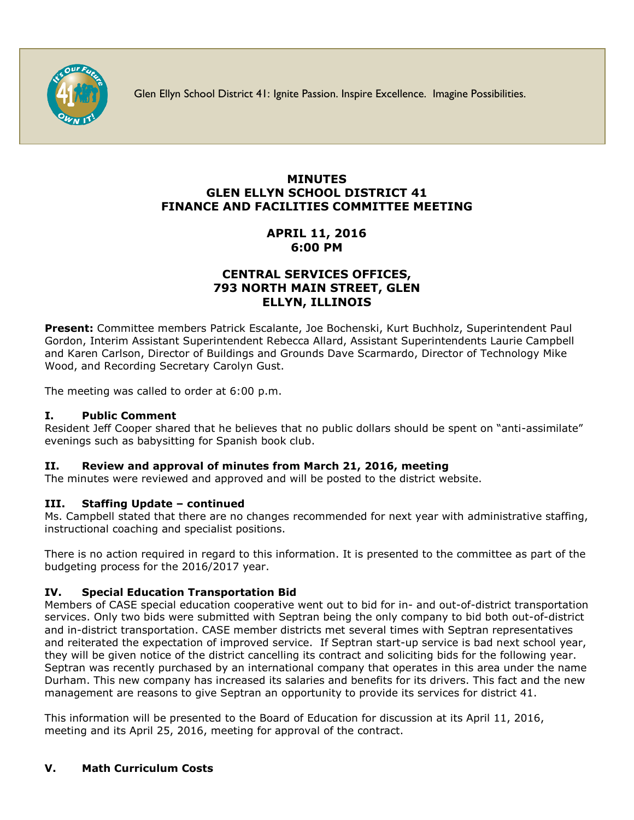

Glen Ellyn School District 41: Ignite Passion. Inspire Excellence. Imagine Possibilities.

# **MINUTES GLEN ELLYN SCHOOL DISTRICT 41 FINANCE AND FACILITIES COMMITTEE MEETING**

# **APRIL 11, 2016 6:00 PM**

## **CENTRAL SERVICES OFFICES, 793 NORTH MAIN STREET, GLEN ELLYN, ILLINOIS**

**Present:** Committee members Patrick Escalante, Joe Bochenski, Kurt Buchholz, Superintendent Paul Gordon, Interim Assistant Superintendent Rebecca Allard, Assistant Superintendents Laurie Campbell and Karen Carlson, Director of Buildings and Grounds Dave Scarmardo, Director of Technology Mike Wood, and Recording Secretary Carolyn Gust.

The meeting was called to order at 6:00 p.m.

## **I. Public Comment**

Resident Jeff Cooper shared that he believes that no public dollars should be spent on "anti-assimilate" evenings such as babysitting for Spanish book club.

## **II. Review and approval of minutes from March 21, 2016, meeting**

The minutes were reviewed and approved and will be posted to the district website.

## **III. Staffing Update – continued**

Ms. Campbell stated that there are no changes recommended for next year with administrative staffing, instructional coaching and specialist positions.

There is no action required in regard to this information. It is presented to the committee as part of the budgeting process for the 2016/2017 year.

## **IV. Special Education Transportation Bid**

Members of CASE special education cooperative went out to bid for in- and out-of-district transportation services. Only two bids were submitted with Septran being the only company to bid both out-of-district and in-district transportation. CASE member districts met several times with Septran representatives and reiterated the expectation of improved service. If Septran start-up service is bad next school year, they will be given notice of the district cancelling its contract and soliciting bids for the following year. Septran was recently purchased by an international company that operates in this area under the name Durham. This new company has increased its salaries and benefits for its drivers. This fact and the new management are reasons to give Septran an opportunity to provide its services for district 41.

This information will be presented to the Board of Education for discussion at its April 11, 2016, meeting and its April 25, 2016, meeting for approval of the contract.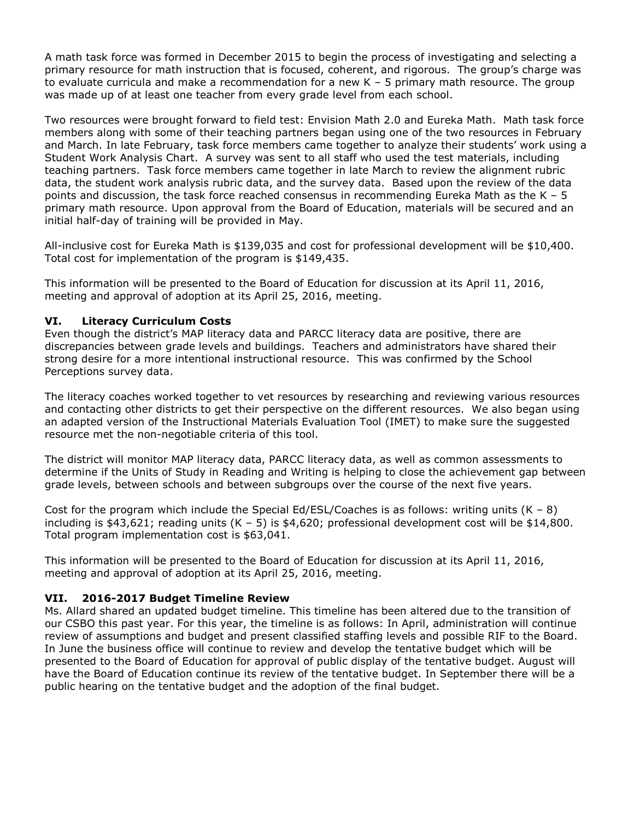A math task force was formed in December 2015 to begin the process of investigating and selecting a primary resource for math instruction that is focused, coherent, and rigorous. The group's charge was to evaluate curricula and make a recommendation for a new K – 5 primary math resource. The group was made up of at least one teacher from every grade level from each school.

Two resources were brought forward to field test: Envision Math 2.0 and Eureka Math. Math task force members along with some of their teaching partners began using one of the two resources in February and March. In late February, task force members came together to analyze their students' work using a Student Work Analysis Chart. A survey was sent to all staff who used the test materials, including teaching partners. Task force members came together in late March to review the alignment rubric data, the student work analysis rubric data, and the survey data. Based upon the review of the data points and discussion, the task force reached consensus in recommending Eureka Math as the  $K - 5$ primary math resource. Upon approval from the Board of Education, materials will be secured and an initial half-day of training will be provided in May.

All-inclusive cost for Eureka Math is \$139,035 and cost for professional development will be \$10,400. Total cost for implementation of the program is \$149,435.

This information will be presented to the Board of Education for discussion at its April 11, 2016, meeting and approval of adoption at its April 25, 2016, meeting.

### **VI. Literacy Curriculum Costs**

Even though the district's MAP literacy data and PARCC literacy data are positive, there are discrepancies between grade levels and buildings. Teachers and administrators have shared their strong desire for a more intentional instructional resource. This was confirmed by the School Perceptions survey data.

The literacy coaches worked together to vet resources by researching and reviewing various resources and contacting other districts to get their perspective on the different resources. We also began using an adapted version of the Instructional Materials Evaluation Tool (IMET) to make sure the suggested resource met the non-negotiable criteria of this tool.

The district will monitor MAP literacy data, PARCC literacy data, as well as common assessments to determine if the Units of Study in Reading and Writing is helping to close the achievement gap between grade levels, between schools and between subgroups over the course of the next five years.

Cost for the program which include the Special Ed/ESL/Coaches is as follows: writing units  $(K - 8)$ including is \$43,621; reading units  $(K - 5)$  is \$4,620; professional development cost will be \$14,800. Total program implementation cost is \$63,041.

This information will be presented to the Board of Education for discussion at its April 11, 2016, meeting and approval of adoption at its April 25, 2016, meeting.

#### **VII. 2016-2017 Budget Timeline Review**

Ms. Allard shared an updated budget timeline. This timeline has been altered due to the transition of our CSBO this past year. For this year, the timeline is as follows: In April, administration will continue review of assumptions and budget and present classified staffing levels and possible RIF to the Board. In June the business office will continue to review and develop the tentative budget which will be presented to the Board of Education for approval of public display of the tentative budget. August will have the Board of Education continue its review of the tentative budget. In September there will be a public hearing on the tentative budget and the adoption of the final budget.